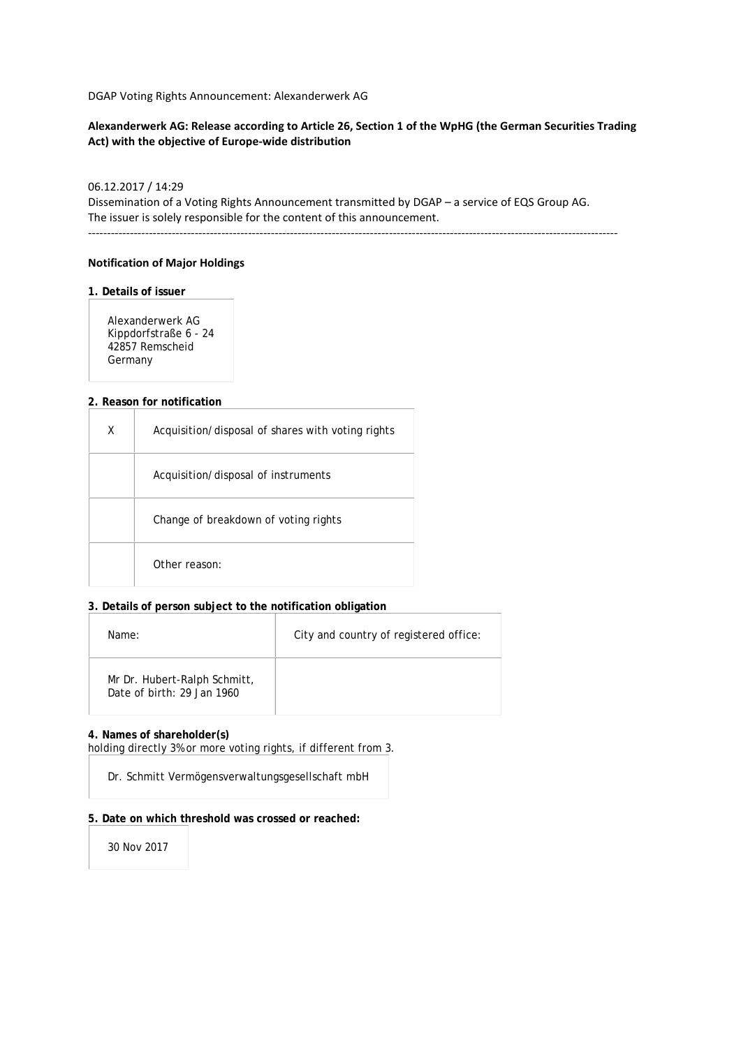DGAP Voting Rights Announcement: Alexanderwerk AG

## **Alexanderwerk AG: Release according to Article 26, Section 1 of the WpHG (the German Securities Trading Act) with the objective of Europe-wide distribution**

## 06.12.2017 / 14:29

Dissemination of a Voting Rights Announcement transmitted by DGAP – a service of EQS Group AG. The issuer is solely responsible for the content of this announcement.

-------------------------------------------------------------------------------------------------------------------------------------------

### **Notification of Major Holdings**

#### **1. Details of issuer**

Alexanderwerk AG Kippdorfstraße 6 - 24 42857 Remscheid Germany

#### **2. Reason for notification**

| x | Acquisition/disposal of shares with voting rights |
|---|---------------------------------------------------|
|   | Acquisition/disposal of instruments               |
|   | Change of breakdown of voting rights              |
|   | Other reason:                                     |

### **3. Details of person subject to the notification obligation**

| Name:                                                      | City and country of registered office: |
|------------------------------------------------------------|----------------------------------------|
| Mr Dr. Hubert-Ralph Schmitt,<br>Date of birth: 29 Jan 1960 |                                        |

#### **4. Names of shareholder(s)**

holding directly 3% or more voting rights, if different from 3.

Dr. Schmitt Vermögensverwaltungsgesellschaft mbH

#### **5. Date on which threshold was crossed or reached:**

30 Nov 2017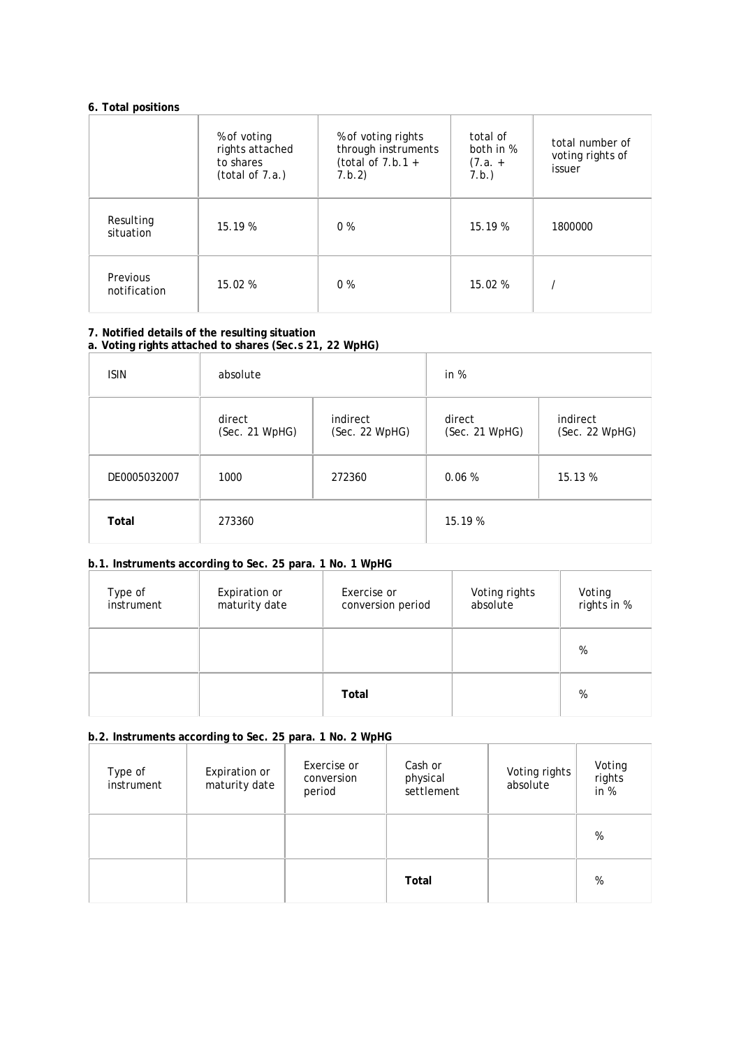# **6. Total positions**

|                          | % of voting<br>rights attached<br>to shares<br>(total of 7.a.) | % of voting rights<br>through instruments<br>(total of $7.b.1 +$<br>7.b.2) | total of<br>both in %<br>$(7.a. +$<br>7.b.) | total number of<br>voting rights of<br>issuer |
|--------------------------|----------------------------------------------------------------|----------------------------------------------------------------------------|---------------------------------------------|-----------------------------------------------|
| Resulting<br>situation   | 15.19%                                                         | $0\%$                                                                      | 15.19 %                                     | 1800000                                       |
| Previous<br>notification | 15.02%                                                         | $0\%$                                                                      | 15.02 %                                     |                                               |

## **7. Notified details of the resulting situation a. Voting rights attached to shares (Sec.s 21, 22 WpHG)**

| <b>ISIN</b>  | absolute                 |                            | in $%$                   |                            |
|--------------|--------------------------|----------------------------|--------------------------|----------------------------|
|              | direct<br>(Sec. 21 WpHG) | indirect<br>(Sec. 22 WpHG) | direct<br>(Sec. 21 WpHG) | indirect<br>(Sec. 22 WpHG) |
| DE0005032007 | 1000                     | 272360                     | 0.06%                    | 15.13 %                    |
| Total        | 273360                   |                            | 15.19 %                  |                            |

# **b.1. Instruments according to Sec. 25 para. 1 No. 1 WpHG**

| Type of<br>instrument | Expiration or<br>maturity date | Exercise or<br>conversion period | Voting rights<br>absolute | Voting<br>rights in % |
|-----------------------|--------------------------------|----------------------------------|---------------------------|-----------------------|
|                       |                                |                                  |                           | %                     |
|                       |                                | Total                            |                           | %                     |

# **b.2. Instruments according to Sec. 25 para. 1 No. 2 WpHG**

| Type of<br>instrument | Expiration or<br>maturity date | Exercise or<br>conversion<br>period | Cash or<br>physical<br>settlement | Voting rights<br>absolute | Voting<br>rights<br>in $%$ |
|-----------------------|--------------------------------|-------------------------------------|-----------------------------------|---------------------------|----------------------------|
|                       |                                |                                     |                                   |                           | %                          |
|                       |                                |                                     | Total                             |                           | %                          |